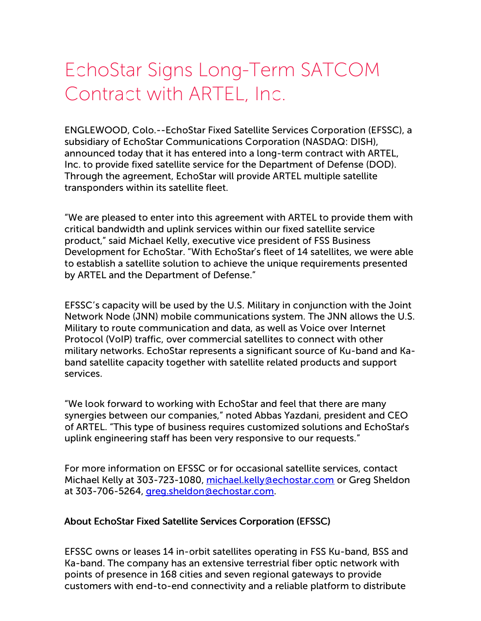# EchoStar Signs Long-Term SATCOM Contract with ARTEL, Inc.

ENGLEWOOD, Colo.--EchoStar Fixed Satellite Services Corporation (EFSSC), a subsidiary of EchoStar Communications Corporation (NASDAQ: DISH), announced today that it has entered into a long-term contract with ARTEL, Inc. to provide fixed satellite service for the Department of Defense (DOD). Through the agreement, EchoStar will provide ARTEL multiple satellite transponders within its satellite fleet.

"We are pleased to enter into this agreement with ARTEL to provide them with critical bandwidth and uplink services within our fixed satellite service product," said Michael Kelly, executive vice president of FSS Business Development for EchoStar. "With EchoStar's fleet of 14 satellites, we were able to establish a satellite solution to achieve the unique requirements presented by ARTEL and the Department of Defense."

EFSSC's capacity will be used by the U.S. Military in conjunction with the Joint Network Node (JNN) mobile communications system. The JNN allows the U.S. Military to route communication and data, as well as Voice over Internet Protocol (VoIP) traffic, over commercial satellites to connect with other military networks. EchoStar represents a significant source of Ku-band and Kaband satellite capacity together with satellite related products and support services.

"We look forward to working with EchoStar and feel that there are many synergies between our companies," noted Abbas Yazdani, president and CEO of ARTEL. "This type of business requires customized solutions and EchoStar's uplink engineering staff has been very responsive to our requests."

For more information on EFSSC or for occasional satellite services, contact Michael Kelly at 303-723-1080, [michael.kelly@echostar.com](mailto:michael.kelly@echostar.com) or Greg Sheldon at 303-706-5264, [greg.sheldon@echostar.com](mailto:greg.sheldon@echostar.com).

#### About EchoStar Fixed Satellite Services Corporation (EFSSC)

EFSSC owns or leases 14 in-orbit satellites operating in FSS Ku-band, BSS and Ka-band. The company has an extensive terrestrial fiber optic network with points of presence in 168 cities and seven regional gateways to provide customers with end-to-end connectivity and a reliable platform to distribute